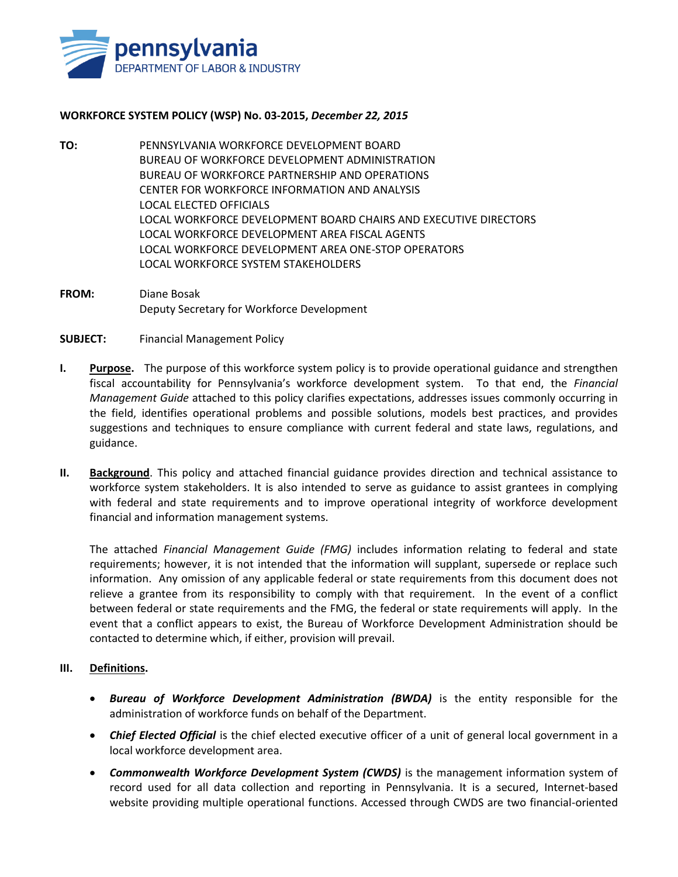

## **WORKFORCE SYSTEM POLICY (WSP) No. 03-2015,** *December 22, 2015*

- **TO:** PENNSYLVANIA WORKFORCE DEVELOPMENT BOARD BUREAU OF WORKFORCE DEVELOPMENT ADMINISTRATION BUREAU OF WORKFORCE PARTNERSHIP AND OPERATIONS CENTER FOR WORKFORCE INFORMATION AND ANALYSIS LOCAL ELECTED OFFICIALS LOCAL WORKFORCE DEVELOPMENT BOARD CHAIRS AND EXECUTIVE DIRECTORS LOCAL WORKFORCE DEVELOPMENT AREA FISCAL AGENTS LOCAL WORKFORCE DEVELOPMENT AREA ONE-STOP OPERATORS LOCAL WORKFORCE SYSTEM STAKEHOLDERS
- **FROM:** Diane Bosak Deputy Secretary for Workforce Development
- **SUBJECT:** Financial Management Policy
- **I. Purpose.** The purpose of this workforce system policy is to provide operational guidance and strengthen fiscal accountability for Pennsylvania's workforce development system. To that end, the *Financial Management Guide* attached to this policy clarifies expectations, addresses issues commonly occurring in the field, identifies operational problems and possible solutions, models best practices, and provides suggestions and techniques to ensure compliance with current federal and state laws, regulations, and guidance.
- **II. Background**. This policy and attached financial guidance provides direction and technical assistance to workforce system stakeholders. It is also intended to serve as guidance to assist grantees in complying with federal and state requirements and to improve operational integrity of workforce development financial and information management systems.

The attached *Financial Management Guide (FMG)* includes information relating to federal and state requirements; however, it is not intended that the information will supplant, supersede or replace such information. Any omission of any applicable federal or state requirements from this document does not relieve a grantee from its responsibility to comply with that requirement. In the event of a conflict between federal or state requirements and the FMG, the federal or state requirements will apply. In the event that a conflict appears to exist, the Bureau of Workforce Development Administration should be contacted to determine which, if either, provision will prevail.

## **III. Definitions.**

- *Bureau of Workforce Development Administration (BWDA)* is the entity responsible for the administration of workforce funds on behalf of the Department.
- *Chief Elected Official* is the chief elected executive officer of a unit of general local government in a local workforce development area.
- *Commonwealth Workforce Development System (CWDS)* is the management information system of record used for all data collection and reporting in Pennsylvania. It is a secured, Internet-based website providing multiple operational functions. Accessed through CWDS are two financial-oriented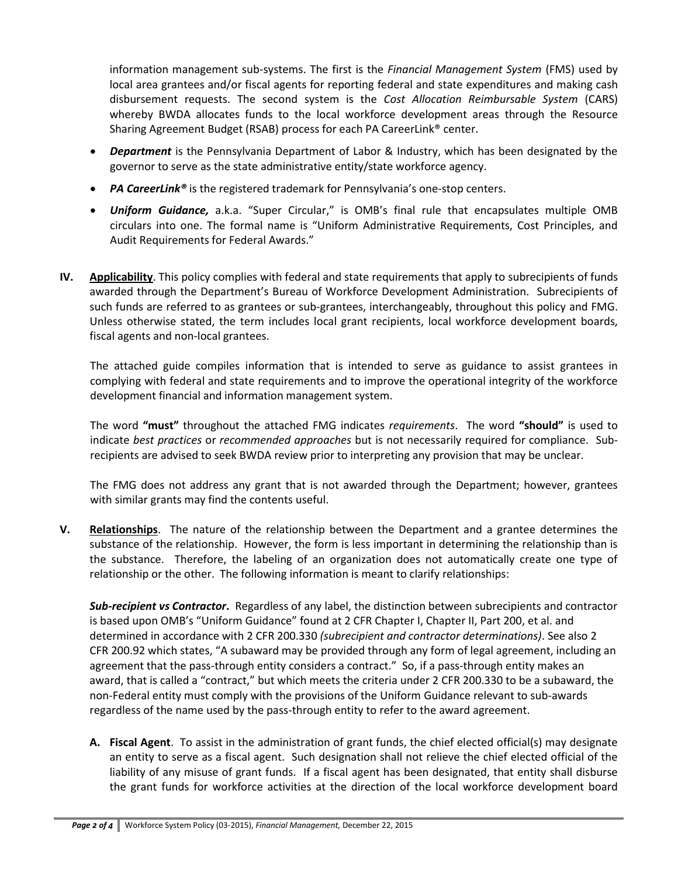information management sub-systems. The first is the *Financial Management System* (FMS) used by local area grantees and/or fiscal agents for reporting federal and state expenditures and making cash disbursement requests. The second system is the *Cost Allocation Reimbursable System* (CARS) whereby BWDA allocates funds to the local workforce development areas through the Resource Sharing Agreement Budget (RSAB) process for each PA CareerLink® center.

- *Department* is the Pennsylvania Department of Labor & Industry, which has been designated by the governor to serve as the state administrative entity/state workforce agency.
- *PA CareerLink®* is the registered trademark for Pennsylvania's one-stop centers.
- *Uniform Guidance,* a.k.a. "Super Circular," is OMB's final rule that encapsulates multiple OMB circulars into one. The formal name is "Uniform Administrative Requirements, Cost Principles, and Audit Requirements for Federal Awards."
- **IV. Applicability**. This policy complies with federal and state requirements that apply to subrecipients of funds awarded through the Department's Bureau of Workforce Development Administration. Subrecipients of such funds are referred to as grantees or sub-grantees, interchangeably, throughout this policy and FMG. Unless otherwise stated, the term includes local grant recipients, local workforce development boards, fiscal agents and non-local grantees.

The attached guide compiles information that is intended to serve as guidance to assist grantees in complying with federal and state requirements and to improve the operational integrity of the workforce development financial and information management system.

The word **"must"** throughout the attached FMG indicates *requirements*. The word **"should"** is used to indicate *best practices* or *recommended approaches* but is not necessarily required for compliance. Subrecipients are advised to seek BWDA review prior to interpreting any provision that may be unclear.

The FMG does not address any grant that is not awarded through the Department; however, grantees with similar grants may find the contents useful.

**V. Relationships**. The nature of the relationship between the Department and a grantee determines the substance of the relationship. However, the form is less important in determining the relationship than is the substance. Therefore, the labeling of an organization does not automatically create one type of relationship or the other. The following information is meant to clarify relationships:

*Sub-recipient vs Contractor***.** Regardless of any label, the distinction between subrecipients and contractor is based upon OMB's "Uniform Guidance" found at 2 CFR Chapter I, Chapter II, Part 200, et al. and determined in accordance with 2 CFR 200.330 *(subrecipient and contractor determinations)*. See also 2 CFR 200.92 which states, "A subaward may be provided through any form of legal agreement, including an agreement that the pass-through entity considers a contract." So, if a pass-through entity makes an award, that is called a "contract," but which meets the criteria under 2 CFR 200.330 to be a subaward, the non-Federal entity must comply with the provisions of the Uniform Guidance relevant to sub-awards regardless of the name used by the pass-through entity to refer to the award agreement.

**A. Fiscal Agent**. To assist in the administration of grant funds, the chief elected official(s) may designate an entity to serve as a fiscal agent. Such designation shall not relieve the chief elected official of the liability of any misuse of grant funds. If a fiscal agent has been designated, that entity shall disburse the grant funds for workforce activities at the direction of the local workforce development board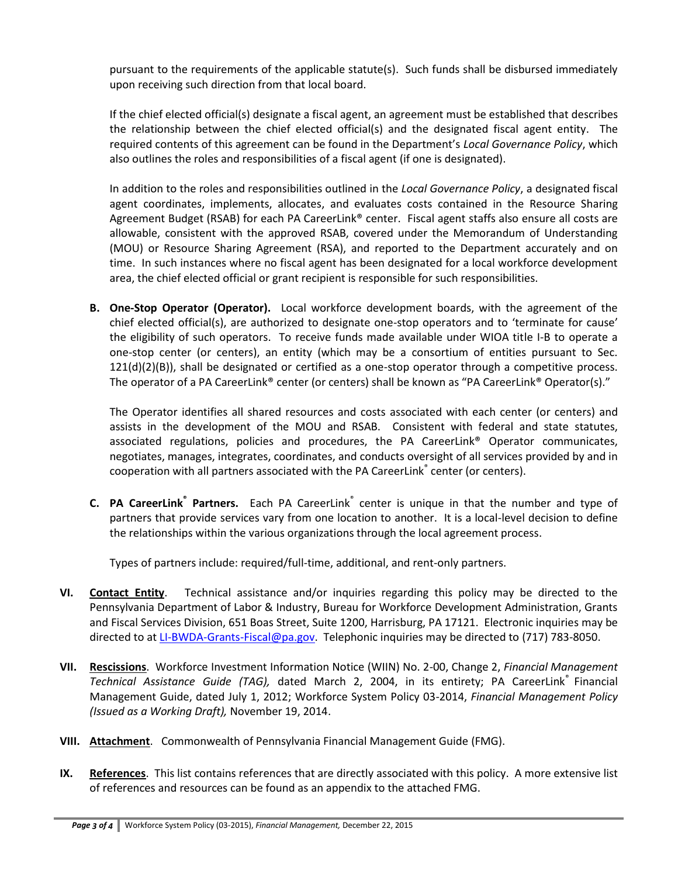pursuant to the requirements of the applicable statute(s). Such funds shall be disbursed immediately upon receiving such direction from that local board.

If the chief elected official(s) designate a fiscal agent, an agreement must be established that describes the relationship between the chief elected official(s) and the designated fiscal agent entity. The required contents of this agreement can be found in the Department's *Local Governance Policy*, which also outlines the roles and responsibilities of a fiscal agent (if one is designated).

In addition to the roles and responsibilities outlined in the *Local Governance Policy*, a designated fiscal agent coordinates, implements, allocates, and evaluates costs contained in the Resource Sharing Agreement Budget (RSAB) for each PA CareerLink<sup>®</sup> center. Fiscal agent staffs also ensure all costs are allowable, consistent with the approved RSAB, covered under the Memorandum of Understanding (MOU) or Resource Sharing Agreement (RSA), and reported to the Department accurately and on time. In such instances where no fiscal agent has been designated for a local workforce development area, the chief elected official or grant recipient is responsible for such responsibilities.

**B. One-Stop Operator (Operator).** Local workforce development boards, with the agreement of the chief elected official(s), are authorized to designate one-stop operators and to 'terminate for cause' the eligibility of such operators. To receive funds made available under WIOA title I-B to operate a one-stop center (or centers), an entity (which may be a consortium of entities pursuant to Sec.  $121(d)(2)(B)$ , shall be designated or certified as a one-stop operator through a competitive process. The operator of a PA CareerLink® center (or centers) shall be known as "PA CareerLink® Operator(s)."

The Operator identifies all shared resources and costs associated with each center (or centers) and assists in the development of the MOU and RSAB. Consistent with federal and state statutes, associated regulations, policies and procedures, the PA CareerLink® Operator communicates, negotiates, manages, integrates, coordinates, and conducts oversight of all services provided by and in cooperation with all partners associated with the PA CareerLink<sup>®</sup> center (or centers).

**C.** PA CareerLink<sup>®</sup> Partners. Each PA CareerLink<sup>®</sup> center is unique in that the number and type of partners that provide services vary from one location to another. It is a local-level decision to define the relationships within the various organizations through the local agreement process.

Types of partners include: required/full-time, additional, and rent-only partners.

- **VI. Contact Entity**. Technical assistance and/or inquiries regarding this policy may be directed to the Pennsylvania Department of Labor & Industry, Bureau for Workforce Development Administration, Grants and Fiscal Services Division, 651 Boas Street, Suite 1200, Harrisburg, PA 17121. Electronic inquiries may be directed to at [LI-BWDA-Grants-Fiscal@pa.gov.](mailto:LI-BWDA-Grants-Fiscal@pa.gov) Telephonic inquiries may be directed to (717) 783-8050.
- **VII. Rescissions**. Workforce Investment Information Notice (WIIN) No. 2-00, Change 2, *Financial Management Technical Assistance Guide (TAG),* dated March 2, 2004, in its entirety; PA CareerLink® Financial Management Guide, dated July 1, 2012; Workforce System Policy 03-2014, *Financial Management Policy (Issued as a Working Draft),* November 19, 2014.
- **VIII. Attachment**.Commonwealth of Pennsylvania Financial Management Guide (FMG).
- **IX. References**. This list contains references that are directly associated with this policy. A more extensive list of references and resources can be found as an appendix to the attached FMG.